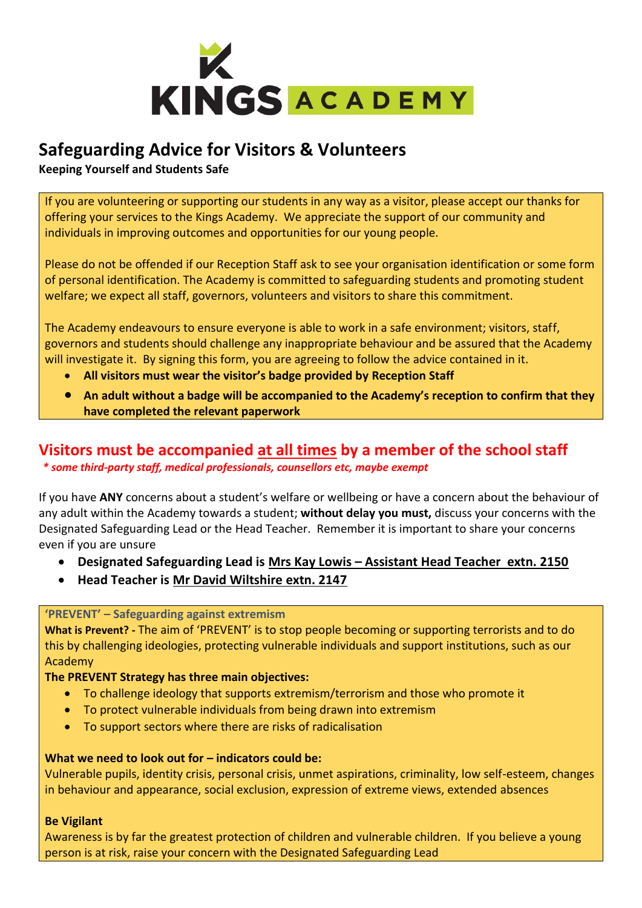

# **Safeguarding Advice for Visitors & Volunteers**

**Keeping Yourself and Students Safe**

If you are volunteering or supporting our students in any way as a visitor, please accept our thanks for offering your services to the Kings Academy. We appreciate the support of our community and individuals in improving outcomes and opportunities for our young people.

Please do not be offended if our Reception Staff ask to see your organisation identification or some form of personal identification. The Academy is committed to safeguarding students and promoting student welfare; we expect all staff, governors, volunteers and visitors to share this commitment.

The Academy endeavours to ensure everyone is able to work in a safe environment; visitors, staff, governors and students should challenge any inappropriate behaviour and be assured that the Academy will investigate it. By signing this form, you are agreeing to follow the advice contained in it.

- **All visitors must wear the visitor's badge provided by Reception Staff**
- **An adult without a badge will be accompanied to the Academy's reception to confirm that they have completed the relevant paperwork**

## **Visitors must be accompanied at all times by a member of the school staff** *\* some third-party staff, medical professionals, counsellors etc, maybe exempt*

If you have **ANY** concerns about a student's welfare or wellbeing or have a concern about the behaviour of any adult within the Academy towards a student; **without delay you must,** discuss your concerns with the Designated Safeguarding Lead or the Head Teacher. Remember it is important to share your concerns even if you are unsure

- **Designated Safeguarding Lead is Mrs Kay Lowis – Assistant Head Teacher extn. 2150**
- **Head Teacher is Mr David Wiltshire extn. 2147**

## **'PREVENT' – Safeguarding against extremism**

**What is Prevent? -** The aim of 'PREVENT' is to stop people becoming or supporting terrorists and to do this by challenging ideologies, protecting vulnerable individuals and support institutions, such as our Academy

## **The PREVENT Strategy has three main objectives:**

- To challenge ideology that supports extremism/terrorism and those who promote it
- To protect vulnerable individuals from being drawn into extremism
- To support sectors where there are risks of radicalisation

## **What we need to look out for – indicators could be:**

Vulnerable pupils, identity crisis, personal crisis, unmet aspirations, criminality, low self-esteem, changes in behaviour and appearance, social exclusion, expression of extreme views, extended absences

## **Be Vigilant**

Awareness is by far the greatest protection of children and vulnerable children. If you believe a young person is at risk, raise your concern with the Designated Safeguarding Lead